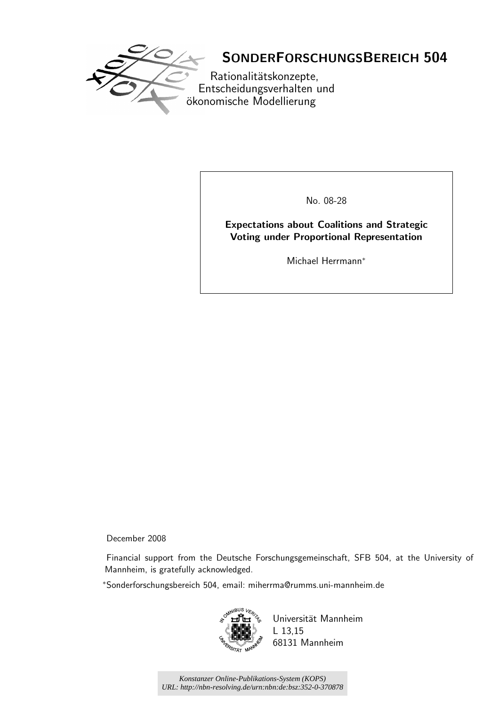

# SONDERFORSCHUNGSBEREICH 504

Rationalitätskonzepte, Entscheidungsverhalten und ökonomische Modellierung

No. 08-28

Expectations about Coalitions and Strategic Voting under Proportional Representation

Michael Herrmann<sup>∗</sup>

December 2008

Financial support from the Deutsche Forschungsgemeinschaft, SFB 504, at the University of Mannheim, is gratefully acknowledged.

<sup>∗</sup>Sonderforschungsbereich 504, email: miherrma@rumms.uni-mannheim.de



Universität Mannheim L 13,15 68131 Mannheim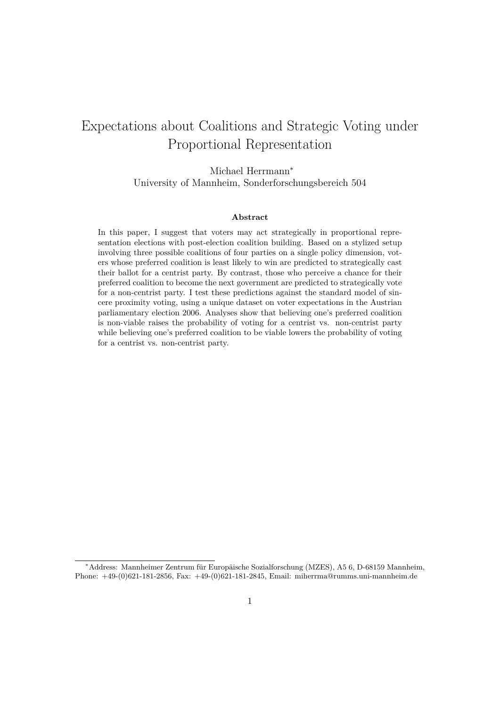# Expectations about Coalitions and Strategic Voting under Proportional Representation

Michael Herrmann<sup>∗</sup> University of Mannheim, Sonderforschungsbereich 504

#### **Abstract**

In this paper, I suggest that voters may act strategically in proportional representation elections with post-election coalition building. Based on a stylized setup involving three possible coalitions of four parties on a single policy dimension, voters whose preferred coalition is least likely to win are predicted to strategically cast their ballot for a centrist party. By contrast, those who perceive a chance for their preferred coalition to become the next government are predicted to strategically vote for a non-centrist party. I test these predictions against the standard model of sincere proximity voting, using a unique dataset on voter expectations in the Austrian parliamentary election 2006. Analyses show that believing one's preferred coalition is non-viable raises the probability of voting for a centrist vs. non-centrist party while believing one's preferred coalition to be viable lowers the probability of voting for a centrist vs. non-centrist party.

<sup>∗</sup>Address: Mannheimer Zentrum für Europäische Sozialforschung (MZES), A5 6, D-68159 Mannheim, Phone: +49-(0)621-181-2856, Fax: +49-(0)621-181-2845, Email: miherrma@rumms.uni-mannheim.de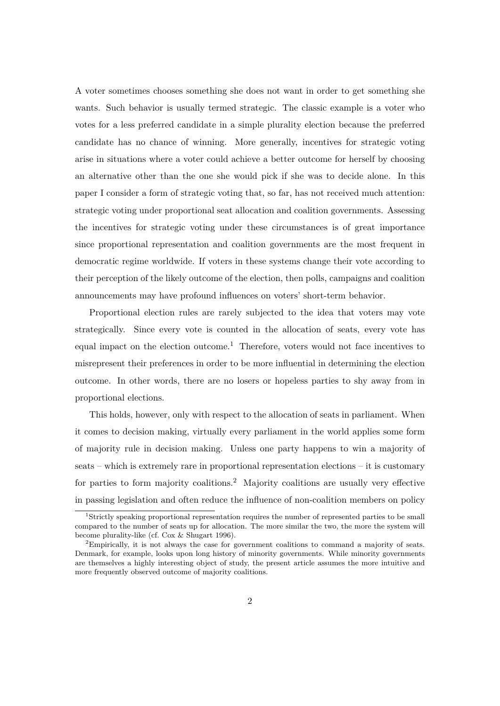A voter sometimes chooses something she does not want in order to get something she wants. Such behavior is usually termed strategic. The classic example is a voter who votes for a less preferred candidate in a simple plurality election because the preferred candidate has no chance of winning. More generally, incentives for strategic voting arise in situations where a voter could achieve a better outcome for herself by choosing an alternative other than the one she would pick if she was to decide alone. In this paper I consider a form of strategic voting that, so far, has not received much attention: strategic voting under proportional seat allocation and coalition governments. Assessing the incentives for strategic voting under these circumstances is of great importance since proportional representation and coalition governments are the most frequent in democratic regime worldwide. If voters in these systems change their vote according to their perception of the likely outcome of the election, then polls, campaigns and coalition announcements may have profound influences on voters' short-term behavior.

Proportional election rules are rarely subjected to the idea that voters may vote strategically. Since every vote is counted in the allocation of seats, every vote has equal impact on the election outcome.<sup>1</sup> Therefore, voters would not face incentives to misrepresent their preferences in order to be more influential in determining the election outcome. In other words, there are no losers or hopeless parties to shy away from in proportional elections.

This holds, however, only with respect to the allocation of seats in parliament. When it comes to decision making, virtually every parliament in the world applies some form of majority rule in decision making. Unless one party happens to win a majority of seats – which is extremely rare in proportional representation elections – it is customary for parties to form majority coalitions.<sup>2</sup> Majority coalitions are usually very effective in passing legislation and often reduce the influence of non-coalition members on policy

<sup>1</sup>Strictly speaking proportional representation requires the number of represented parties to be small compared to the number of seats up for allocation. The more similar the two, the more the system will become plurality-like (cf. Cox & Shugart 1996).

<sup>2</sup>Empirically, it is not always the case for government coalitions to command a majority of seats. Denmark, for example, looks upon long history of minority governments. While minority governments are themselves a highly interesting object of study, the present article assumes the more intuitive and more frequently observed outcome of majority coalitions.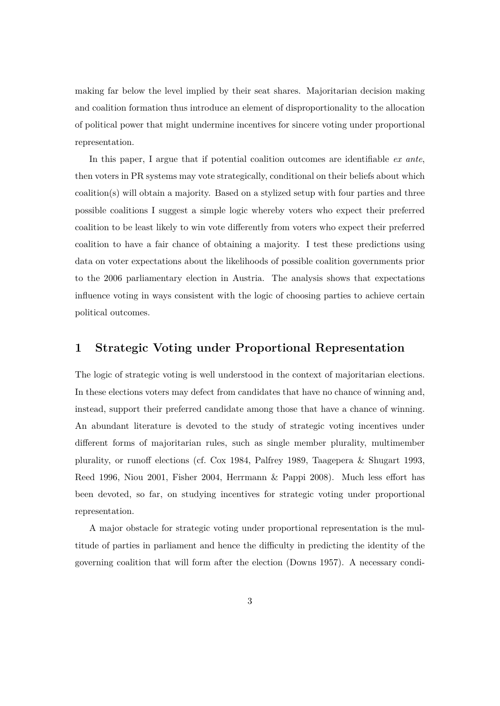making far below the level implied by their seat shares. Majoritarian decision making and coalition formation thus introduce an element of disproportionality to the allocation of political power that might undermine incentives for sincere voting under proportional representation.

In this paper, I argue that if potential coalition outcomes are identifiable *ex ante*, then voters in PR systems may vote strategically, conditional on their beliefs about which coalition(s) will obtain a majority. Based on a stylized setup with four parties and three possible coalitions I suggest a simple logic whereby voters who expect their preferred coalition to be least likely to win vote differently from voters who expect their preferred coalition to have a fair chance of obtaining a majority. I test these predictions using data on voter expectations about the likelihoods of possible coalition governments prior to the 2006 parliamentary election in Austria. The analysis shows that expectations influence voting in ways consistent with the logic of choosing parties to achieve certain political outcomes.

### **1 Strategic Voting under Proportional Representation**

The logic of strategic voting is well understood in the context of majoritarian elections. In these elections voters may defect from candidates that have no chance of winning and, instead, support their preferred candidate among those that have a chance of winning. An abundant literature is devoted to the study of strategic voting incentives under different forms of majoritarian rules, such as single member plurality, multimember plurality, or runoff elections (cf. Cox 1984, Palfrey 1989, Taagepera & Shugart 1993, Reed 1996, Niou 2001, Fisher 2004, Herrmann & Pappi 2008). Much less effort has been devoted, so far, on studying incentives for strategic voting under proportional representation.

A major obstacle for strategic voting under proportional representation is the multitude of parties in parliament and hence the difficulty in predicting the identity of the governing coalition that will form after the election (Downs 1957). A necessary condi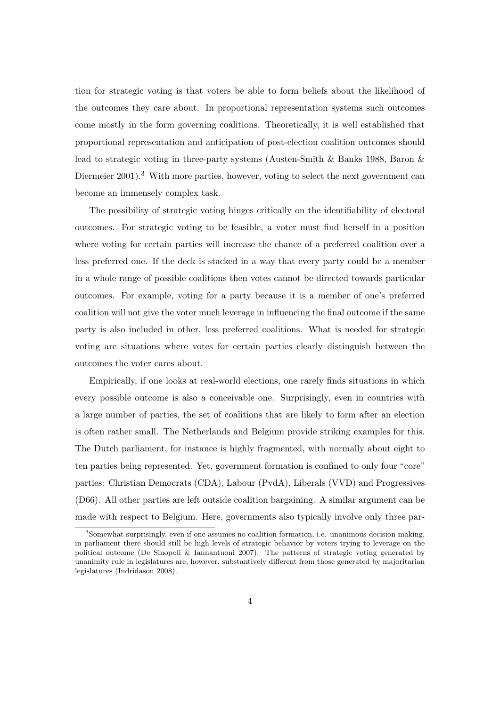tion for strategic voting is that voters be able to form beliefs about the likelihood of the outcomes they care about. In proportional representation systems such outcomes come mostly in the form governing coalitions. Theoretically, it is well established that proportional representation and anticipation of post-election coalition outcomes should lead to strategic voting in three-party systems (Austen-Smith & Banks 1988, Baron & Diermeier 2001).<sup>3</sup> With more parties, however, voting to select the next government can become an immensely complex task.

The possibility of strategic voting hinges critically on the identifiability of electoral outcomes. For strategic voting to be feasible, a voter must find herself in a position where voting for certain parties will increase the chance of a preferred coalition over a less preferred one. If the deck is stacked in a way that every party could be a member in a whole range of possible coalitions then votes cannot be directed towards particular outcomes. For example, voting for a party because it is a member of one's preferred coalition will not give the voter much leverage in influencing the final outcome if the same party is also included in other, less preferred coalitions. What is needed for strategic voting are situations where votes for certain parties clearly distinguish between the outcomes the voter cares about.

Empirically, if one looks at real-world elections, one rarely finds situations in which every possible outcome is also a conceivable one. Surprisingly, even in countries with a large number of parties, the set of coalitions that are likely to form after an election is often rather small. The Netherlands and Belgium provide striking examples for this. The Dutch parliament, for instance is highly fragmented, with normally about eight to ten parties being represented. Yet, government formation is confined to only four "core" parties: Christian Democrats (CDA), Labour (PvdA), Liberals (VVD) and Progressives (D66). All other parties are left outside coalition bargaining. A similar argument can be made with respect to Belgium. Here, governments also typically involve only three par-

<sup>3</sup>Somewhat surprisingly, even if one assumes no coalition formation, i.e. unanimous decision making, in parliament there should still be high levels of strategic behavior by voters trying to leverage on the political outcome (De Sinopoli & Iannantuoni 2007). The patterns of strategic voting generated by unanimity rule in legislatures are, however, substantively different from those generated by majoritarian legislatures (Indridason 2008).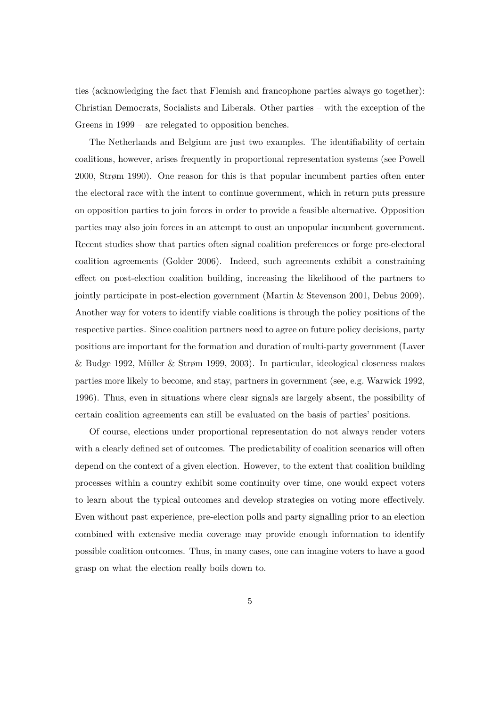ties (acknowledging the fact that Flemish and francophone parties always go together): Christian Democrats, Socialists and Liberals. Other parties – with the exception of the Greens in 1999 – are relegated to opposition benches.

The Netherlands and Belgium are just two examples. The identifiability of certain coalitions, however, arises frequently in proportional representation systems (see Powell 2000, Strøm 1990). One reason for this is that popular incumbent parties often enter the electoral race with the intent to continue government, which in return puts pressure on opposition parties to join forces in order to provide a feasible alternative. Opposition parties may also join forces in an attempt to oust an unpopular incumbent government. Recent studies show that parties often signal coalition preferences or forge pre-electoral coalition agreements (Golder 2006). Indeed, such agreements exhibit a constraining effect on post-election coalition building, increasing the likelihood of the partners to jointly participate in post-election government (Martin & Stevenson 2001, Debus 2009). Another way for voters to identify viable coalitions is through the policy positions of the respective parties. Since coalition partners need to agree on future policy decisions, party positions are important for the formation and duration of multi-party government (Laver & Budge 1992, Müller & Strøm 1999, 2003). In particular, ideological closeness makes parties more likely to become, and stay, partners in government (see, e.g. Warwick 1992, 1996). Thus, even in situations where clear signals are largely absent, the possibility of certain coalition agreements can still be evaluated on the basis of parties' positions.

Of course, elections under proportional representation do not always render voters with a clearly defined set of outcomes. The predictability of coalition scenarios will often depend on the context of a given election. However, to the extent that coalition building processes within a country exhibit some continuity over time, one would expect voters to learn about the typical outcomes and develop strategies on voting more effectively. Even without past experience, pre-election polls and party signalling prior to an election combined with extensive media coverage may provide enough information to identify possible coalition outcomes. Thus, in many cases, one can imagine voters to have a good grasp on what the election really boils down to.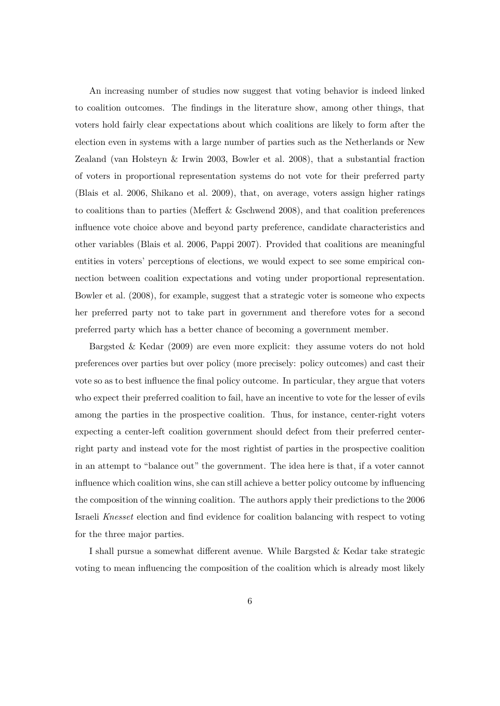An increasing number of studies now suggest that voting behavior is indeed linked to coalition outcomes. The findings in the literature show, among other things, that voters hold fairly clear expectations about which coalitions are likely to form after the election even in systems with a large number of parties such as the Netherlands or New Zealand (van Holsteyn & Irwin 2003, Bowler et al. 2008), that a substantial fraction of voters in proportional representation systems do not vote for their preferred party (Blais et al. 2006, Shikano et al. 2009), that, on average, voters assign higher ratings to coalitions than to parties (Meffert & Gschwend 2008), and that coalition preferences influence vote choice above and beyond party preference, candidate characteristics and other variables (Blais et al. 2006, Pappi 2007). Provided that coalitions are meaningful entities in voters' perceptions of elections, we would expect to see some empirical connection between coalition expectations and voting under proportional representation. Bowler et al. (2008), for example, suggest that a strategic voter is someone who expects her preferred party not to take part in government and therefore votes for a second preferred party which has a better chance of becoming a government member.

Bargsted & Kedar (2009) are even more explicit: they assume voters do not hold preferences over parties but over policy (more precisely: policy outcomes) and cast their vote so as to best influence the final policy outcome. In particular, they argue that voters who expect their preferred coalition to fail, have an incentive to vote for the lesser of evils among the parties in the prospective coalition. Thus, for instance, center-right voters expecting a center-left coalition government should defect from their preferred centerright party and instead vote for the most rightist of parties in the prospective coalition in an attempt to "balance out" the government. The idea here is that, if a voter cannot influence which coalition wins, she can still achieve a better policy outcome by influencing the composition of the winning coalition. The authors apply their predictions to the 2006 Israeli *Knesset* election and find evidence for coalition balancing with respect to voting for the three major parties.

I shall pursue a somewhat different avenue. While Bargsted & Kedar take strategic voting to mean influencing the composition of the coalition which is already most likely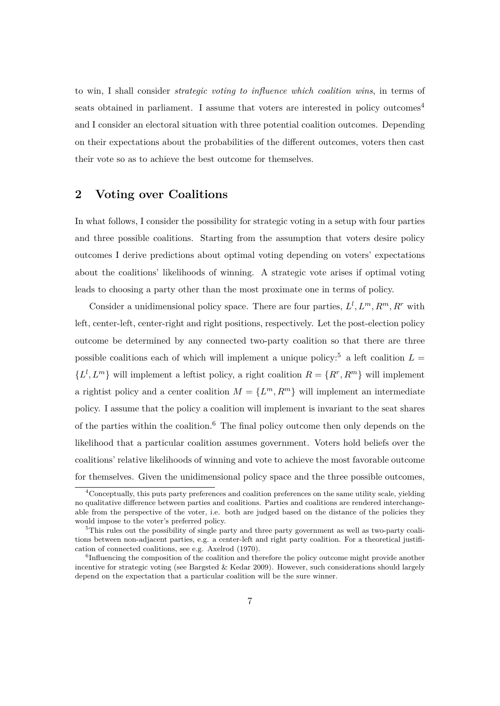to win, I shall consider *strategic voting to influence which coalition wins*, in terms of seats obtained in parliament. I assume that voters are interested in policy outcomes<sup>4</sup> and I consider an electoral situation with three potential coalition outcomes. Depending on their expectations about the probabilities of the different outcomes, voters then cast their vote so as to achieve the best outcome for themselves.

### **2 Voting over Coalitions**

In what follows, I consider the possibility for strategic voting in a setup with four parties and three possible coalitions. Starting from the assumption that voters desire policy outcomes I derive predictions about optimal voting depending on voters' expectations about the coalitions' likelihoods of winning. A strategic vote arises if optimal voting leads to choosing a party other than the most proximate one in terms of policy.

Consider a unidimensional policy space. There are four parties,  $L^l, L^m, R^m, R^r$  with left, center-left, center-right and right positions, respectively. Let the post-election policy outcome be determined by any connected two-party coalition so that there are three possible coalitions each of which will implement a unique policy:<sup>5</sup> a left coalition  $L =$  ${L^l, L^m}$  will implement a leftist policy, a right coalition  $R = {R^r, R^m}$  will implement a rightist policy and a center coalition  $M = \{L^m, R^m\}$  will implement an intermediate policy. I assume that the policy a coalition will implement is invariant to the seat shares of the parties within the coalition.<sup>6</sup> The final policy outcome then only depends on the likelihood that a particular coalition assumes government. Voters hold beliefs over the coalitions' relative likelihoods of winning and vote to achieve the most favorable outcome for themselves. Given the unidimensional policy space and the three possible outcomes,

<sup>&</sup>lt;sup>4</sup>Conceptually, this puts party preferences and coalition preferences on the same utility scale, yielding no qualitative difference between parties and coalitions. Parties and coalitions are rendered interchangeable from the perspective of the voter, i.e. both are judged based on the distance of the policies they would impose to the voter's preferred policy.

<sup>&</sup>lt;sup>5</sup>This rules out the possibility of single party and three party government as well as two-party coalitions between non-adjacent parties, e.g. a center-left and right party coalition. For a theoretical justification of connected coalitions, see e.g. Axelrod (1970).

<sup>&</sup>lt;sup>6</sup>Influencing the composition of the coalition and therefore the policy outcome might provide another incentive for strategic voting (see Bargsted & Kedar 2009). However, such considerations should largely depend on the expectation that a particular coalition will be the sure winner.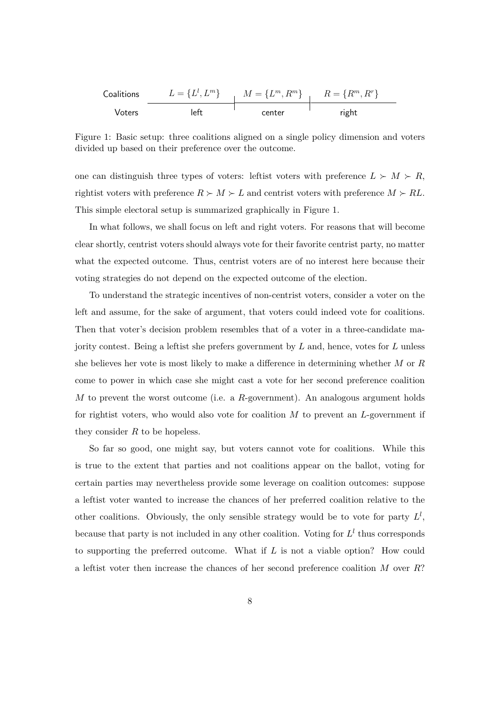| Coalitions | $L = \{L^l, L^m\}$ | $M = \{L^m, R^m\}$ | $R = \{R^m, R^r\}$ |
|------------|--------------------|--------------------|--------------------|
| Voters     | left               | center             | right              |

Figure 1: Basic setup: three coalitions aligned on a single policy dimension and voters divided up based on their preference over the outcome.

one can distinguish three types of voters: leftist voters with preference  $L \succ M \succ R$ , rightist voters with preference  $R \succ M \succ L$  and centrist voters with preference  $M \succ R$ . This simple electoral setup is summarized graphically in Figure 1.

In what follows, we shall focus on left and right voters. For reasons that will become clear shortly, centrist voters should always vote for their favorite centrist party, no matter what the expected outcome. Thus, centrist voters are of no interest here because their voting strategies do not depend on the expected outcome of the election.

jority contest. Being a leftist she prefers government by  $L$  and, hence, votes for  $L$  unless To understand the strategic incentives of non-centrist voters, consider a voter on the left and assume, for the sake of argument, that voters could indeed vote for coalitions. Then that voter's decision problem resembles that of a voter in a three-candidate mashe believes her vote is most likely to make a difference in determining whether M or R come to power in which case she might cast a vote for her second preference coalition M to prevent the worst outcome (i.e. a R-government). An analogous argument holds for rightist voters, who would also vote for coalition  $M$  to prevent an  $L$ -government if they consider  $R$  to be hopeless.

So far so good, one might say, but voters cannot vote for coalitions. While this is true to the extent that parties and not coalitions appear on the ballot, voting for certain parties may nevertheless provide some leverage on coalition outcomes: suppose a leftist voter wanted to increase the chances of her preferred coalition relative to the other coalitions. Obviously, the only sensible strategy would be to vote for party  $L^l$ , because that party is not included in any other coalition. Voting for  $L^l$  thus corresponds to supporting the preferred outcome. What if  $L$  is not a viable option? How could a leftist voter then increase the chances of her second preference coalition M over R?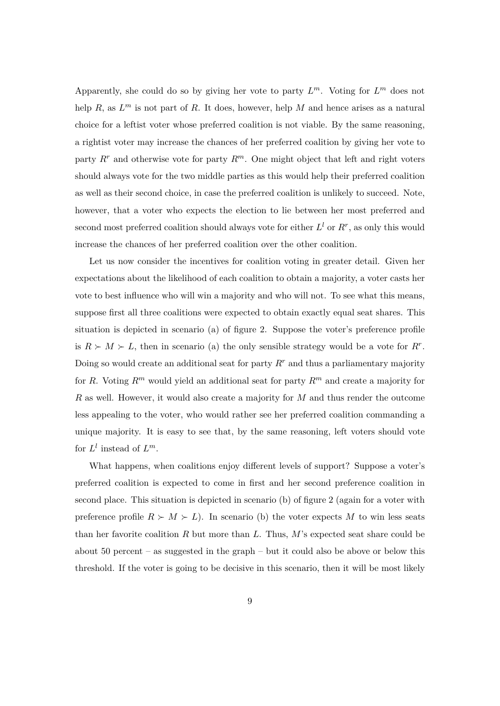Apparently, she could do so by giving her vote to party  $L^m$ . Voting for  $L^m$  does not help R, as  $L^m$  is not part of R. It does, however, help M and hence arises as a natural choice for a leftist voter whose preferred coalition is not viable. By the same reasoning, a rightist voter may increase the chances of her preferred coalition by giving her vote to party  $R^r$  and otherwise vote for party  $R^m$ . One might object that left and right voters should always vote for the two middle parties as this would help their preferred coalition as well as their second choice, in case the preferred coalition is unlikely to succeed. Note, however, that a voter who expects the election to lie between her most preferred and second most preferred coalition should always vote for either  $L^l$  or  $R^r$ , as only this would increase the chances of her preferred coalition over the other coalition.

Let us now consider the incentives for coalition voting in greater detail. Given her expectations about the likelihood of each coalition to obtain a majority, a voter casts her vote to best influence who will win a majority and who will not. To see what this means, suppose first all three coalitions were expected to obtain exactly equal seat shares. This situation is depicted in scenario (a) of figure 2. Suppose the voter's preference profile is  $R \succ M \succ L$ , then in scenario (a) the only sensible strategy would be a vote for  $R^r$ . Doing so would create an additional seat for party  $R<sup>r</sup>$  and thus a parliamentary majority for R. Voting  $R^m$  would yield an additional seat for party  $R^m$  and create a majority for R as well. However, it would also create a majority for M and thus render the outcome less appealing to the voter, who would rather see her preferred coalition commanding a unique majority. It is easy to see that, by the same reasoning, left voters should vote for  $L^l$  instead of  $L^m$ .

What happens, when coalitions enjoy different levels of support? Suppose a voter's preferred coalition is expected to come in first and her second preference coalition in second place. This situation is depicted in scenario (b) of figure 2 (again for a voter with preference profile  $R \succ M \succ L$ ). In scenario (b) the voter expects M to win less seats than her favorite coalition R but more than L. Thus,  $M$ 's expected seat share could be about 50 percent – as suggested in the graph – but it could also be above or below this threshold. If the voter is going to be decisive in this scenario, then it will be most likely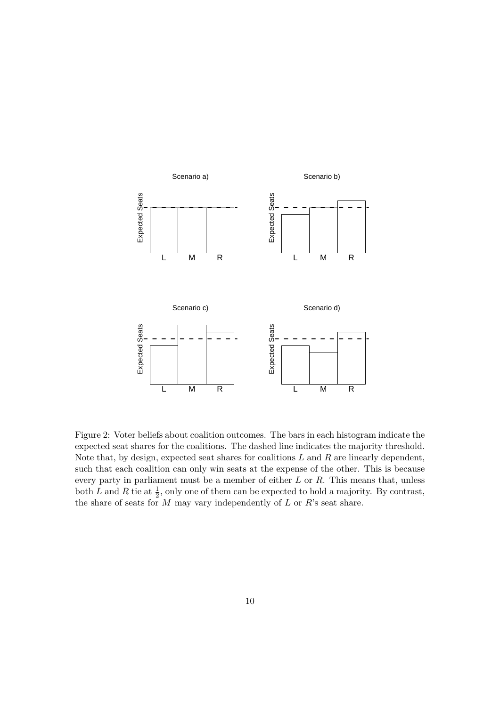

Figure 2: Voter beliefs about coalition outcomes. The bars in each histogram indicate the expected seat shares for the coalitions. The dashed line indicates the majority threshold. Note that, by design, expected seat shares for coalitions  $L$  and  $R$  are linearly dependent, such that each coalition can only win seats at the expense of the other. This is because every party in parliament must be a member of either L or R. This means that, unless both L and R tie at  $\frac{1}{2}$ , only one of them can be expected to hold a majority. By contrast, the share of seats for  $M$  may vary independently of  $L$  or  $R$ 's seat share.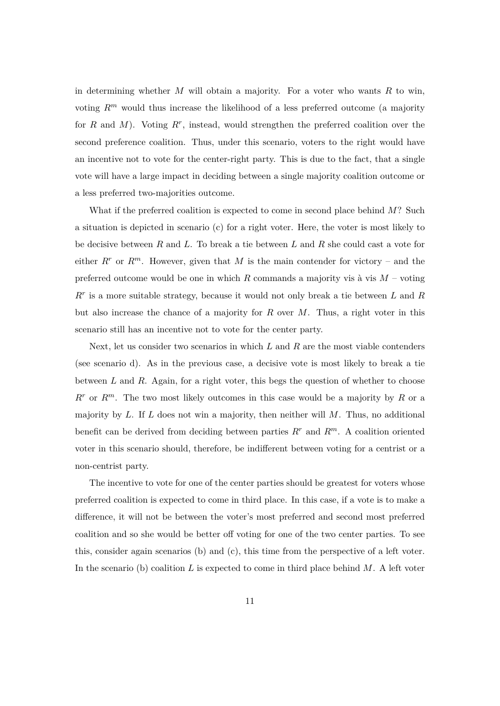in determining whether  $M$  will obtain a majority. For a voter who wants  $R$  to win, voting  $R^m$  would thus increase the likelihood of a less preferred outcome (a majority for  $R$  and  $M$ ). Voting  $R^r$ , instead, would strengthen the preferred coalition over the second preference coalition. Thus, under this scenario, voters to the right would have an incentive not to vote for the center-right party. This is due to the fact, that a single vote will have a large impact in deciding between a single majority coalition outcome or a less preferred two-majorities outcome.

What if the preferred coalition is expected to come in second place behind  $M$ ? Such a situation is depicted in scenario (c) for a right voter. Here, the voter is most likely to be decisive between R and L. To break a tie between L and R she could cast a vote for either  $R^r$  or  $R^m$ . However, given that M is the main contender for victory – and the preferred outcome would be one in which  $R$  commands a majority vis à vis  $M$  – voting  $R<sup>r</sup>$  is a more suitable strategy, because it would not only break a tie between  $L$  and  $R$ but also increase the chance of a majority for  $R$  over  $M$ . Thus, a right voter in this scenario still has an incentive not to vote for the center party.

Next, let us consider two scenarios in which  $L$  and  $R$  are the most viable contenders (see scenario d). As in the previous case, a decisive vote is most likely to break a tie between  $L$  and  $R$ . Again, for a right voter, this begs the question of whether to choose  $R^r$  or  $R^m$ . The two most likely outcomes in this case would be a majority by R or a majority by  $L$ . If  $L$  does not win a majority, then neither will  $M$ . Thus, no additional benefit can be derived from deciding between parties  $R^r$  and  $R^m$ . A coalition oriented voter in this scenario should, therefore, be indifferent between voting for a centrist or a non-centrist party.

The incentive to vote for one of the center parties should be greatest for voters whose preferred coalition is expected to come in third place. In this case, if a vote is to make a difference, it will not be between the voter's most preferred and second most preferred coalition and so she would be better off voting for one of the two center parties. To see this, consider again scenarios (b) and (c), this time from the perspective of a left voter. In the scenario (b) coalition L is expected to come in third place behind  $M$ . A left voter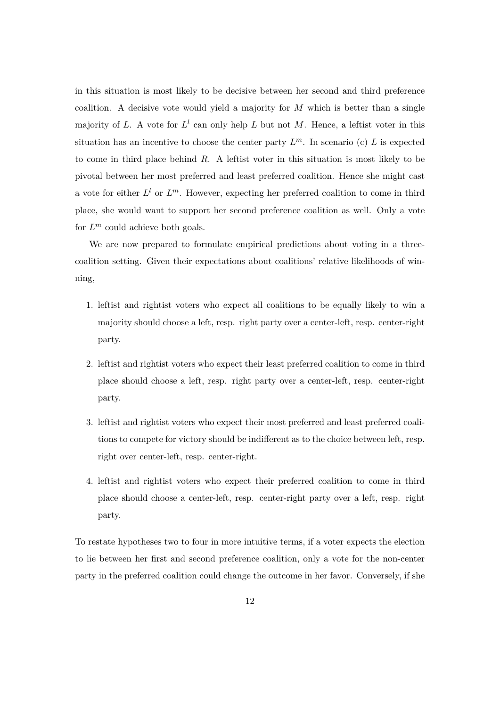in this situation is most likely to be decisive between her second and third preference coalition. A decisive vote would yield a majority for  $M$  which is better than a single majority of L. A vote for  $L^l$  can only help L but not M. Hence, a leftist voter in this situation has an incentive to choose the center party  $L^m$ . In scenario (c) L is expected to come in third place behind  $R$ . A leftist voter in this situation is most likely to be pivotal between her most preferred and least preferred coalition. Hence she might cast a vote for either  $L^l$  or  $L^m$ . However, expecting her preferred coalition to come in third place, she would want to support her second preference coalition as well. Only a vote for  $L^m$  could achieve both goals.

We are now prepared to formulate empirical predictions about voting in a threecoalition setting. Given their expectations about coalitions' relative likelihoods of winning,

- 1. leftist and rightist voters who expect all coalitions to be equally likely to win a majority should choose a left, resp. right party over a center-left, resp. center-right party.
- 2. leftist and rightist voters who expect their least preferred coalition to come in third place should choose a left, resp. right party over a center-left, resp. center-right party.
- 3. leftist and rightist voters who expect their most preferred and least preferred coalitions to compete for victory should be indifferent as to the choice between left, resp. right over center-left, resp. center-right.
- 4. leftist and rightist voters who expect their preferred coalition to come in third place should choose a center-left, resp. center-right party over a left, resp. right party.

To restate hypotheses two to four in more intuitive terms, if a voter expects the election to lie between her first and second preference coalition, only a vote for the non-center party in the preferred coalition could change the outcome in her favor. Conversely, if she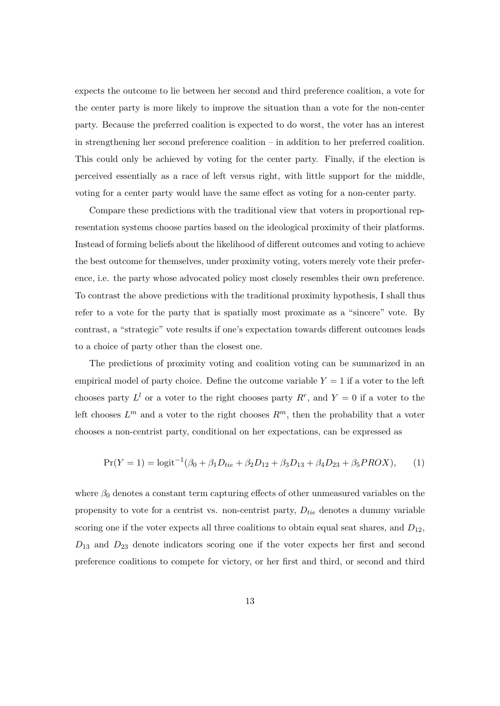expects the outcome to lie between her second and third preference coalition, a vote for the center party is more likely to improve the situation than a vote for the non-center party. Because the preferred coalition is expected to do worst, the voter has an interest in strengthening her second preference coalition – in addition to her preferred coalition. This could only be achieved by voting for the center party. Finally, if the election is perceived essentially as a race of left versus right, with little support for the middle, voting for a center party would have the same effect as voting for a non-center party.

Compare these predictions with the traditional view that voters in proportional representation systems choose parties based on the ideological proximity of their platforms. Instead of forming beliefs about the likelihood of different outcomes and voting to achieve the best outcome for themselves, under proximity voting, voters merely vote their preference, i.e. the party whose advocated policy most closely resembles their own preference. To contrast the above predictions with the traditional proximity hypothesis, I shall thus refer to a vote for the party that is spatially most proximate as a "sincere" vote. By contrast, a "strategic" vote results if one's expectation towards different outcomes leads to a choice of party other than the closest one.

The predictions of proximity voting and coalition voting can be summarized in an empirical model of party choice. Define the outcome variable  $Y = 1$  if a voter to the left chooses party  $L^l$  or a voter to the right chooses party  $R^r$ , and  $Y=0$  if a voter to the left chooses  $L^m$  and a voter to the right chooses  $R^m$ , then the probability that a voter chooses a non-centrist party, conditional on her expectations, can be expressed as

$$
Pr(Y = 1) = logit^{-1}(\beta_0 + \beta_1 D_{tie} + \beta_2 D_{12} + \beta_3 D_{13} + \beta_4 D_{23} + \beta_5 PROX),
$$
 (1)

where  $\beta_0$  denotes a constant term capturing effects of other unmeasured variables on the propensity to vote for a centrist vs. non-centrist party,  $D_{tie}$  denotes a dummy variable scoring one if the voter expects all three coalitions to obtain equal seat shares, and  $D_{12}$ ,  $D_{13}$  and  $D_{23}$  denote indicators scoring one if the voter expects her first and second preference coalitions to compete for victory, or her first and third, or second and third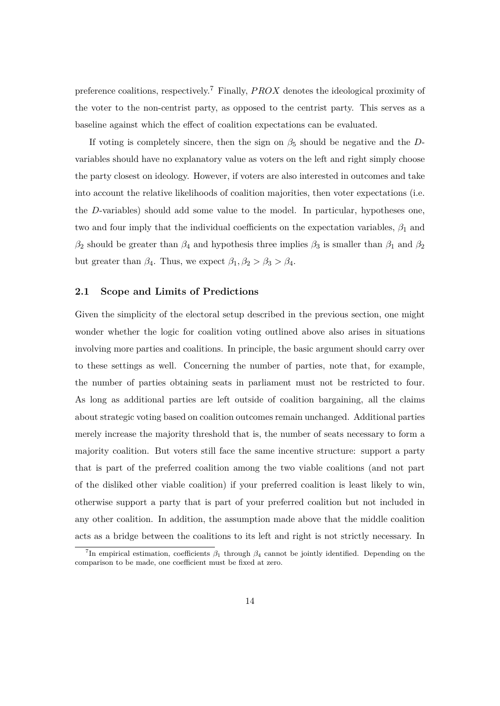preference coalitions, respectively.<sup>7</sup> Finally, *PROX* denotes the ideological proximity of the voter to the non-centrist party, as opposed to the centrist party. This serves as a baseline against which the effect of coalition expectations can be evaluated.

If voting is completely sincere, then the sign on  $\beta_5$  should be negative and the Dvariables should have no explanatory value as voters on the left and right simply choose the party closest on ideology. However, if voters are also interested in outcomes and take into account the relative likelihoods of coalition majorities, then voter expectations (i.e. the D-variables) should add some value to the model. In particular, hypotheses one, two and four imply that the individual coefficients on the expectation variables,  $\beta_1$  and  $\beta_2$  should be greater than  $\beta_4$  and hypothesis three implies  $\beta_3$  is smaller than  $\beta_1$  and  $\beta_2$ but greater than  $\beta_4$ . Thus, we expect  $\beta_1, \beta_2 > \beta_3 > \beta_4$ .

#### **2.1 Scope and Limits of Predictions**

Given the simplicity of the electoral setup described in the previous section, one might wonder whether the logic for coalition voting outlined above also arises in situations involving more parties and coalitions. In principle, the basic argument should carry over to these settings as well. Concerning the number of parties, note that, for example, the number of parties obtaining seats in parliament must not be restricted to four. As long as additional parties are left outside of coalition bargaining, all the claims about strategic voting based on coalition outcomes remain unchanged. Additional parties merely increase the majority threshold that is, the number of seats necessary to form a majority coalition. But voters still face the same incentive structure: support a party that is part of the preferred coalition among the two viable coalitions (and not part of the disliked other viable coalition) if your preferred coalition is least likely to win, otherwise support a party that is part of your preferred coalition but not included in any other coalition. In addition, the assumption made above that the middle coalition acts as a bridge between the coalitions to its left and right is not strictly necessary. In

<sup>&</sup>lt;sup>7</sup>In empirical estimation, coefficients  $\beta_1$  through  $\beta_4$  cannot be jointly identified. Depending on the comparison to be made, one coefficient must be fixed at zero.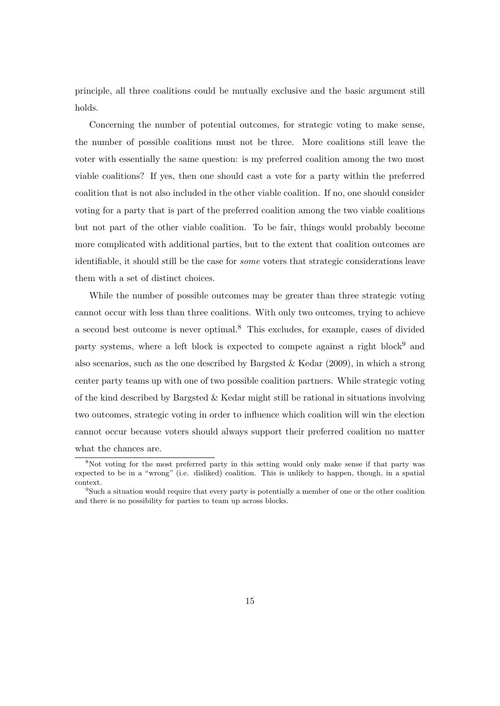principle, all three coalitions could be mutually exclusive and the basic argument still holds.

Concerning the number of potential outcomes, for strategic voting to make sense, the number of possible coalitions must not be three. More coalitions still leave the voter with essentially the same question: is my preferred coalition among the two most viable coalitions? If yes, then one should cast a vote for a party within the preferred coalition that is not also included in the other viable coalition. If no, one should consider voting for a party that is part of the preferred coalition among the two viable coalitions but not part of the other viable coalition. To be fair, things would probably become more complicated with additional parties, but to the extent that coalition outcomes are identifiable, it should still be the case for *some* voters that strategic considerations leave them with a set of distinct choices.

While the number of possible outcomes may be greater than three strategic voting cannot occur with less than three coalitions. With only two outcomes, trying to achieve a second best outcome is never optimal.<sup>8</sup> This excludes, for example, cases of divided party systems, where a left block is expected to compete against a right block<sup>9</sup> and also scenarios, such as the one described by Bargsted  $\&$  Kedar (2009), in which a strong center party teams up with one of two possible coalition partners. While strategic voting of the kind described by Bargsted & Kedar might still be rational in situations involving two outcomes, strategic voting in order to influence which coalition will win the election cannot occur because voters should always support their preferred coalition no matter what the chances are.

<sup>&</sup>lt;sup>8</sup>Not voting for the most preferred party in this setting would only make sense if that party was expected to be in a "wrong" (i.e. disliked) coalition. This is unlikely to happen, though, in a spatial context.

<sup>&</sup>lt;sup>9</sup>Such a situation would require that every party is potentially a member of one or the other coalition and there is no possibility for parties to team up across blocks.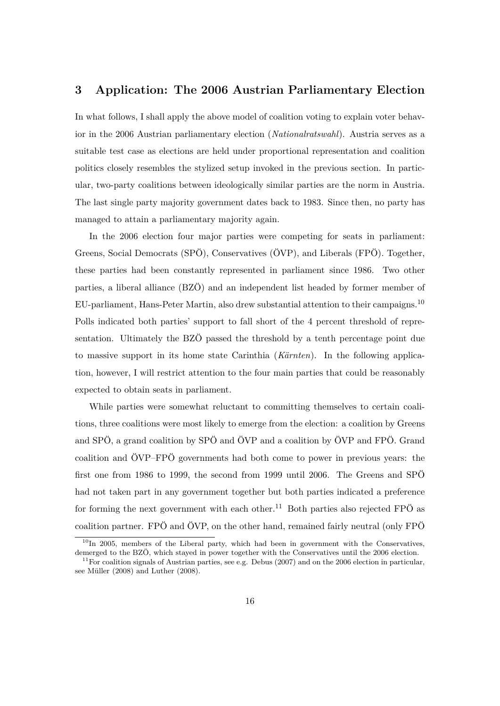### **3 Application: The 2006 Austrian Parliamentary Election**

In what follows, I shall apply the above model of coalition voting to explain voter behavior in the 2006 Austrian parliamentary election (*Nationalratswahl*). Austria serves as a suitable test case as elections are held under proportional representation and coalition politics closely resembles the stylized setup invoked in the previous section. In particular, two-party coalitions between ideologically similar parties are the norm in Austria. The last single party majority government dates back to 1983. Since then, no party has managed to attain a parliamentary majority again.

In the 2006 election four major parties were competing for seats in parliament: Greens, Social Democrats (SPÖ), Conservatives (ÖVP), and Liberals (FPÖ). Together, these parties had been constantly represented in parliament since 1986. Two other parties, a liberal alliance (BZÖ) and an independent list headed by former member of EU-parliament, Hans-Peter Martin, also drew substantial attention to their campaigns.<sup>10</sup> Polls indicated both parties' support to fall short of the 4 percent threshold of representation. Ultimately the BZÖ passed the threshold by a tenth percentage point due to massive support in its home state Carinthia (*Kärnten*). In the following application, however, I will restrict attention to the four main parties that could be reasonably expected to obtain seats in parliament.

While parties were somewhat reluctant to committing themselves to certain coalitions, three coalitions were most likely to emerge from the election: a coalition by Greens and SPÖ, a grand coalition by SPÖ and ÖVP and a coalition by ÖVP and FPÖ. Grand coalition and ÖVP–FPÖ governments had both come to power in previous years: the first one from 1986 to 1999, the second from 1999 until 2006. The Greens and SPÖ had not taken part in any government together but both parties indicated a preference for forming the next government with each other.<sup>11</sup> Both parties also rejected FP $\ddot{\text{O}}$  as coalition partner. FPÖ and ÖVP, on the other hand, remained fairly neutral (only FPÖ

 $10$ In 2005, members of the Liberal party, which had been in government with the Conservatives, demerged to the BZÖ, which stayed in power together with the Conservatives until the 2006 election.

<sup>&</sup>lt;sup>11</sup>For coalition signals of Austrian parties, see e.g. Debus (2007) and on the 2006 election in particular, see Müller (2008) and Luther (2008).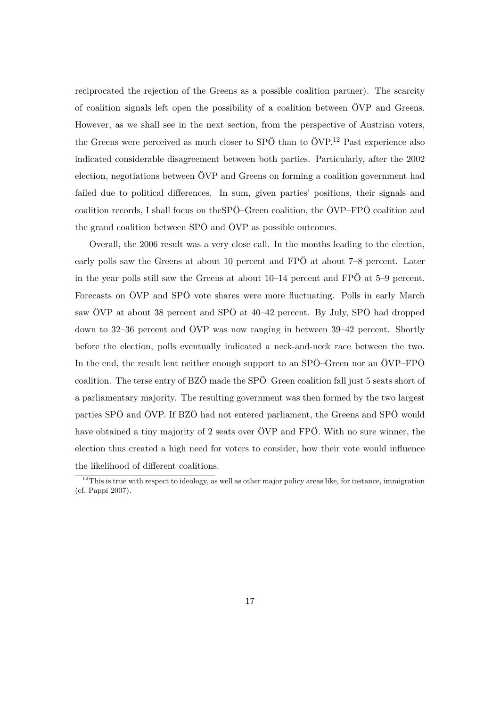reciprocated the rejection of the Greens as a possible coalition partner). The scarcity of coalition signals left open the possibility of a coalition between ÖVP and Greens. However, as we shall see in the next section, from the perspective of Austrian voters, the Greens were perceived as much closer to SPÖ than to ÖVP.<sup>12</sup> Past experience also indicated considerable disagreement between both parties. Particularly, after the 2002 election, negotiations between ÖVP and Greens on forming a coalition government had failed due to political differences. In sum, given parties' positions, their signals and coalition records, I shall focus on theSPÖ–Green coalition, the ÖVP–FPÖ coalition and the grand coalition between SPÖ and ÖVP as possible outcomes.

Overall, the 2006 result was a very close call. In the months leading to the election, early polls saw the Greens at about 10 percent and FPÖ at about 7–8 percent. Later in the year polls still saw the Greens at about 10–14 percent and FPÖ at 5–9 percent. Forecasts on ÖVP and SPÖ vote shares were more fluctuating. Polls in early March saw ÖVP at about 38 percent and SPÖ at 40–42 percent. By July, SPÖ had dropped down to 32–36 percent and ÖVP was now ranging in between 39–42 percent. Shortly before the election, polls eventually indicated a neck-and-neck race between the two. In the end, the result lent neither enough support to an SPÖ–Green nor an ÖVP–FPÖ coalition. The terse entry of BZÖ made the SPÖ–Green coalition fall just 5 seats short of a parliamentary majority. The resulting government was then formed by the two largest parties SPÖ and ÖVP. If BZÖ had not entered parliament, the Greens and SPÖ would have obtained a tiny majority of 2 seats over ÖVP and FPÖ. With no sure winner, the election thus created a high need for voters to consider, how their vote would influence the likelihood of different coalitions.

 $12$ This is true with respect to ideology, as well as other major policy areas like, for instance, immigration (cf. Pappi 2007).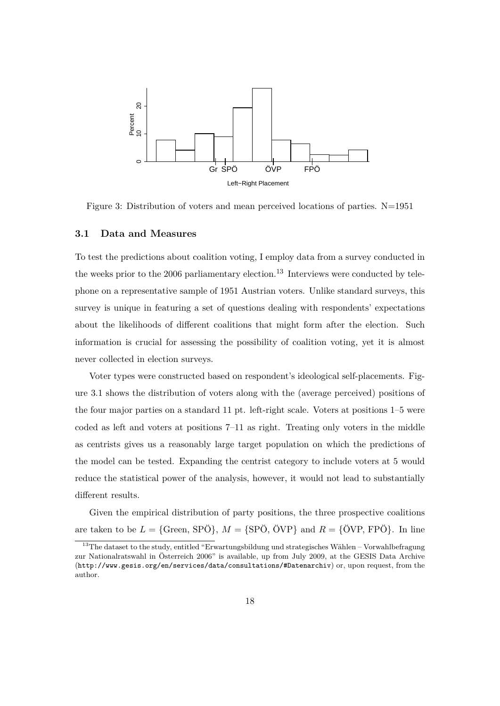

Figure 3: Distribution of voters and mean perceived locations of parties. N=1951

#### **3.1 Data and Measures**

To test the predictions about coalition voting, I employ data from a survey conducted in the weeks prior to the 2006 parliamentary election.<sup>13</sup> Interviews were conducted by telephone on a representative sample of 1951 Austrian voters. Unlike standard surveys, this survey is unique in featuring a set of questions dealing with respondents' expectations about the likelihoods of different coalitions that might form after the election. Such information is crucial for assessing the possibility of coalition voting, yet it is almost never collected in election surveys.

Voter types were constructed based on respondent's ideological self-placements. Figure 3.1 shows the distribution of voters along with the (average perceived) positions of the four major parties on a standard 11 pt. left-right scale. Voters at positions 1–5 were coded as left and voters at positions 7–11 as right. Treating only voters in the middle as centrists gives us a reasonably large target population on which the predictions of the model can be tested. Expanding the centrist category to include voters at 5 would reduce the statistical power of the analysis, however, it would not lead to substantially different results.

Given the empirical distribution of party positions, the three prospective coalitions are taken to be  $L = \{$ Green, SPÖ $\}$ ,  $M = \{$ SPÖ, ÖVP $\}$  and  $R = \{$ ÖVP, FPÖ $\}$ . In line

<sup>&</sup>lt;sup>13</sup>The dataset to the study, entitled "Erwartungsbildung und strategisches Wählen – Vorwahlbefragung zur Nationalratswahl in Österreich 2006" is available, up from July 2009, at the GESIS Data Archive (http://www.gesis.org/en/services/data/consultations/#Datenarchiv) or, upon request, from the author.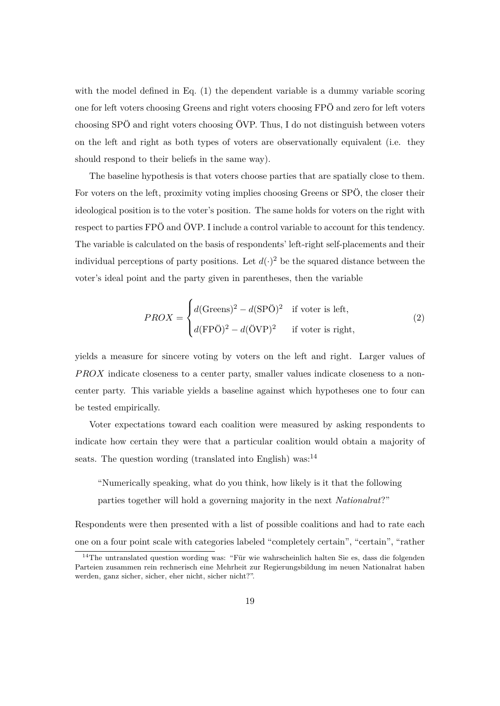with the model defined in Eq. (1) the dependent variable is a dummy variable scoring one for left voters choosing Greens and right voters choosing FPÖ and zero for left voters choosing SPÖ and right voters choosing ÖVP. Thus, I do not distinguish between voters on the left and right as both types of voters are observationally equivalent (i.e. they should respond to their beliefs in the same way).

The baseline hypothesis is that voters choose parties that are spatially close to them. For voters on the left, proximity voting implies choosing Greens or SPÖ, the closer their ideological position is to the voter's position. The same holds for voters on the right with respect to parties FPÖ and ÖVP. I include a control variable to account for this tendency. The variable is calculated on the basis of respondents' left-right self-placements and their individual perceptions of party positions. Let  $d(\cdot)^2$  be the squared distance between the voter's ideal point and the party given in parentheses, then the variable

$$
PROX = \begin{cases} d(\text{Greens})^2 - d(\text{SPÖ})^2 & \text{if order is left,} \\ d(\text{FPÖ})^2 - d(\text{ÖVP})^2 & \text{if order is right,} \end{cases} \tag{2}
$$

yields a measure for sincere voting by voters on the left and right. Larger values of PROX indicate closeness to a center party, smaller values indicate closeness to a noncenter party. This variable yields a baseline against which hypotheses one to four can be tested empirically.

Voter expectations toward each coalition were measured by asking respondents to indicate how certain they were that a particular coalition would obtain a majority of seats. The question wording (translated into English) was: $^{14}$ 

"Numerically speaking, what do you think, how likely is it that the following parties together will hold a governing majority in the next *Nationalrat*?"

Respondents were then presented with a list of possible coalitions and had to rate each one on a four point scale with categories labeled "completely certain", "certain", "rather

<sup>14</sup>The untranslated question wording was: "Für wie wahrscheinlich halten Sie es, dass die folgenden Parteien zusammen rein rechnerisch eine Mehrheit zur Regierungsbildung im neuen Nationalrat haben werden, ganz sicher, sicher, eher nicht, sicher nicht?".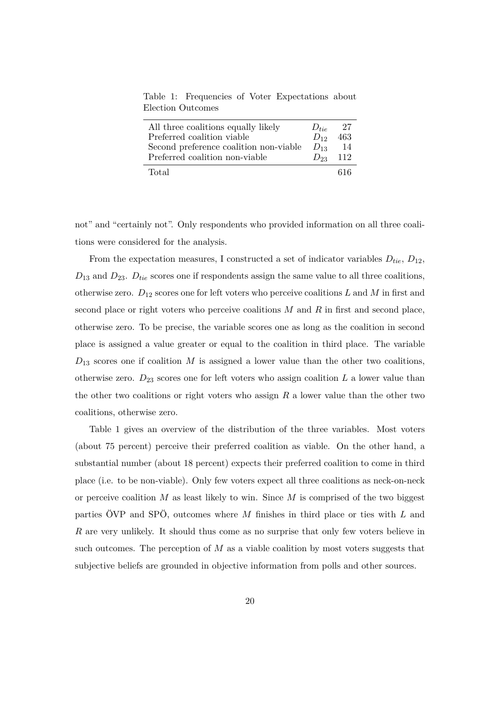Table 1: Frequencies of Voter Expectations about Election Outcomes

| All three coalitions equally likely    | $D_{tie}$    | -27 |
|----------------------------------------|--------------|-----|
| Preferred coalition viable             | $D_{12}$     | 463 |
| Second preference coalition non-viable | $D_{13}$     | 14  |
| Preferred coalition non-viable         | $D_{23}$ 112 |     |
| Total                                  |              | 616 |

not" and "certainly not". Only respondents who provided information on all three coalitions were considered for the analysis.

From the expectation measures, I constructed a set of indicator variables  $D_{tie}$ ,  $D_{12}$ ,  $D_{13}$  and  $D_{23}$ .  $D_{tie}$  scores one if respondents assign the same value to all three coalitions, otherwise zero.  $D_{12}$  scores one for left voters who perceive coalitions L and M in first and second place or right voters who perceive coalitions  $M$  and  $R$  in first and second place, otherwise zero. To be precise, the variable scores one as long as the coalition in second place is assigned a value greater or equal to the coalition in third place. The variable  $D_{13}$  scores one if coalition M is assigned a lower value than the other two coalitions, otherwise zero.  $D_{23}$  scores one for left voters who assign coalition  $L$  a lower value than the other two coalitions or right voters who assign  $R$  a lower value than the other two coalitions, otherwise zero.

Table 1 gives an overview of the distribution of the three variables. Most voters (about 75 percent) perceive their preferred coalition as viable. On the other hand, a substantial number (about 18 percent) expects their preferred coalition to come in third place (i.e. to be non-viable). Only few voters expect all three coalitions as neck-on-neck or perceive coalition  $M$  as least likely to win. Since  $M$  is comprised of the two biggest parties  $\ddot{\text{O}}\text{VP}$  and SP $\ddot{\text{O}}$ , outcomes where M finishes in third place or ties with L and R are very unlikely. It should thus come as no surprise that only few voters believe in such outcomes. The perception of  $M$  as a viable coalition by most voters suggests that subjective beliefs are grounded in objective information from polls and other sources.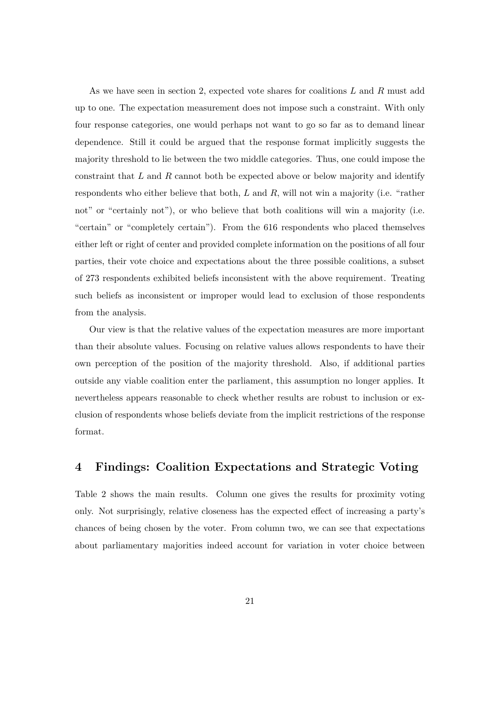As we have seen in section 2, expected vote shares for coalitions L and R must add up to one. The expectation measurement does not impose such a constraint. With only four response categories, one would perhaps not want to go so far as to demand linear dependence. Still it could be argued that the response format implicitly suggests the majority threshold to lie between the two middle categories. Thus, one could impose the constraint that  $L$  and  $R$  cannot both be expected above or below majority and identify respondents who either believe that both,  $L$  and  $R$ , will not win a majority (i.e. "rather not" or "certainly not"), or who believe that both coalitions will win a majority (i.e. "certain" or "completely certain"). From the 616 respondents who placed themselves either left or right of center and provided complete information on the positions of all four parties, their vote choice and expectations about the three possible coalitions, a subset of 273 respondents exhibited beliefs inconsistent with the above requirement. Treating such beliefs as inconsistent or improper would lead to exclusion of those respondents from the analysis.

Our view is that the relative values of the expectation measures are more important than their absolute values. Focusing on relative values allows respondents to have their own perception of the position of the majority threshold. Also, if additional parties outside any viable coalition enter the parliament, this assumption no longer applies. It nevertheless appears reasonable to check whether results are robust to inclusion or exclusion of respondents whose beliefs deviate from the implicit restrictions of the response format.

## **4 Findings: Coalition Expectations and Strategic Voting**

Table 2 shows the main results. Column one gives the results for proximity voting only. Not surprisingly, relative closeness has the expected effect of increasing a party's chances of being chosen by the voter. From column two, we can see that expectations about parliamentary majorities indeed account for variation in voter choice between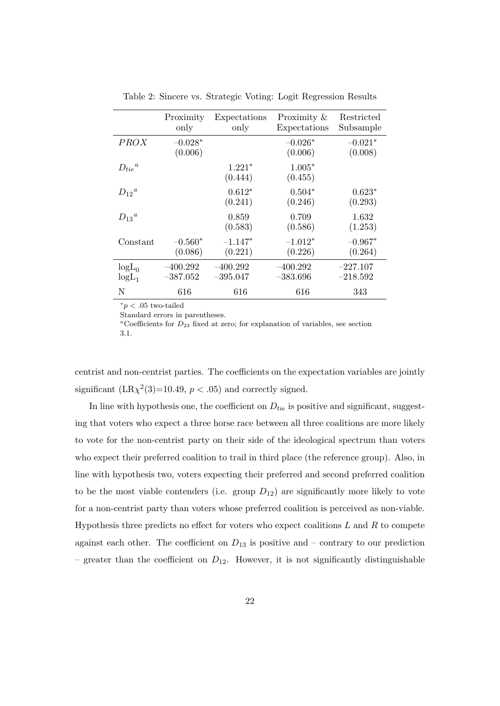|                      | Proximity<br>only        | Expectations<br>only     | Proximity $\&$<br>Expectations | Restricted<br>Subsample  |
|----------------------|--------------------------|--------------------------|--------------------------------|--------------------------|
| <b>PROX</b>          | $-0.028*$<br>(0.006)     |                          | $-0.026*$<br>(0.006)           | $-0.021*$<br>(0.008)     |
| $D_{tie}{}^a$        |                          | $1.221*$<br>(0.444)      | $1.005*$<br>(0.455)            |                          |
| $D_{12}{}^a$         |                          | $0.612*$<br>(0.241)      | $0.504*$<br>(0.246)            | $0.623*$<br>(0.293)      |
| $D_{13}{}^a$         |                          | 0.859<br>(0.583)         | 0.709<br>(0.586)               | 1.632<br>(1.253)         |
| Constant             | $-0.560^*$<br>(0.086)    | $-1.147*$<br>(0.221)     | $-1.012*$<br>(0.226)           | $-0.967*$<br>(0.264)     |
| $logL_0$<br>$logL_1$ | $-400.292$<br>$-387.052$ | $-400.292$<br>$-395.047$ | $-400.292$<br>$-383.696$       | $-227.107$<br>$-218.592$ |
| N                    | 616                      | 616                      | 616                            | 343                      |

Table 2: Sincere vs. Strategic Voting: Logit Regression Results

 $p < .05$  two-tailed

Standard errors in parentheses.

<sup>a</sup>Coefficients for  $D_{23}$  fixed at zero; for explanation of variables, see section 3.1.

centrist and non-centrist parties. The coefficients on the expectation variables are jointly significant  $(LR\chi^2(3)=10.49, p < .05)$  and correctly signed.

In line with hypothesis one, the coefficient on  $D_{tie}$  is positive and significant, suggesting that voters who expect a three horse race between all three coalitions are more likely to vote for the non-centrist party on their side of the ideological spectrum than voters who expect their preferred coalition to trail in third place (the reference group). Also, in line with hypothesis two, voters expecting their preferred and second preferred coalition to be the most viable contenders (i.e. group  $D_{12}$ ) are significantly more likely to vote for a non-centrist party than voters whose preferred coalition is perceived as non-viable. Hypothesis three predicts no effect for voters who expect coalitions  $L$  and  $R$  to compete against each other. The coefficient on  $D_{13}$  is positive and – contrary to our prediction – greater than the coefficient on  $D_{12}$ . However, it is not significantly distinguishable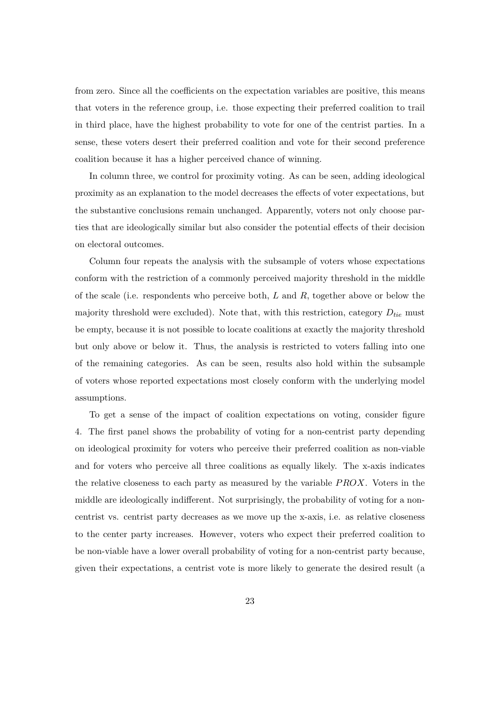from zero. Since all the coefficients on the expectation variables are positive, this means that voters in the reference group, i.e. those expecting their preferred coalition to trail in third place, have the highest probability to vote for one of the centrist parties. In a sense, these voters desert their preferred coalition and vote for their second preference coalition because it has a higher perceived chance of winning.

In column three, we control for proximity voting. As can be seen, adding ideological proximity as an explanation to the model decreases the effects of voter expectations, but the substantive conclusions remain unchanged. Apparently, voters not only choose parties that are ideologically similar but also consider the potential effects of their decision on electoral outcomes.

Column four repeats the analysis with the subsample of voters whose expectations conform with the restriction of a commonly perceived majority threshold in the middle of the scale (i.e. respondents who perceive both,  $L$  and  $R$ , together above or below the majority threshold were excluded). Note that, with this restriction, category  $D_{tie}$  must be empty, because it is not possible to locate coalitions at exactly the majority threshold but only above or below it. Thus, the analysis is restricted to voters falling into one of the remaining categories. As can be seen, results also hold within the subsample of voters whose reported expectations most closely conform with the underlying model assumptions.

To get a sense of the impact of coalition expectations on voting, consider figure 4. The first panel shows the probability of voting for a non-centrist party depending on ideological proximity for voters who perceive their preferred coalition as non-viable and for voters who perceive all three coalitions as equally likely. The x-axis indicates the relative closeness to each party as measured by the variable  $PROX$ . Voters in the middle are ideologically indifferent. Not surprisingly, the probability of voting for a noncentrist vs. centrist party decreases as we move up the x-axis, i.e. as relative closeness to the center party increases. However, voters who expect their preferred coalition to be non-viable have a lower overall probability of voting for a non-centrist party because, given their expectations, a centrist vote is more likely to generate the desired result (a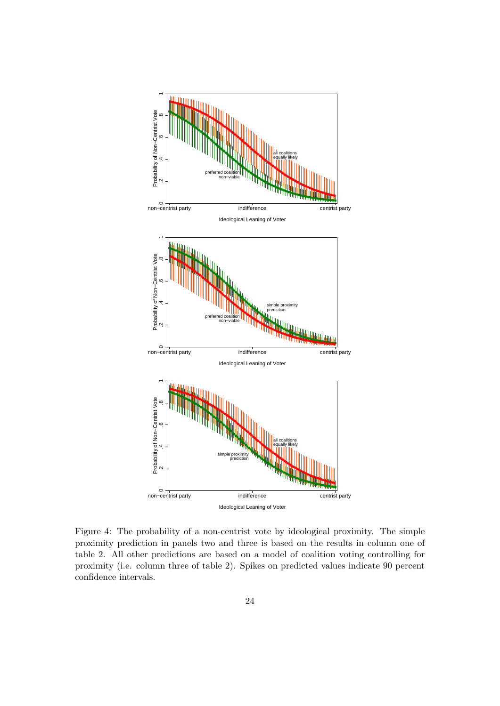

Figure 4: The probability of a non-centrist vote by ideological proximity. The simple proximity prediction in panels two and three is based on the results in column one of table 2. All other predictions are based on a model of coalition voting controlling for proximity (i.e. column three of table 2). Spikes on predicted values indicate 90 percent confidence intervals.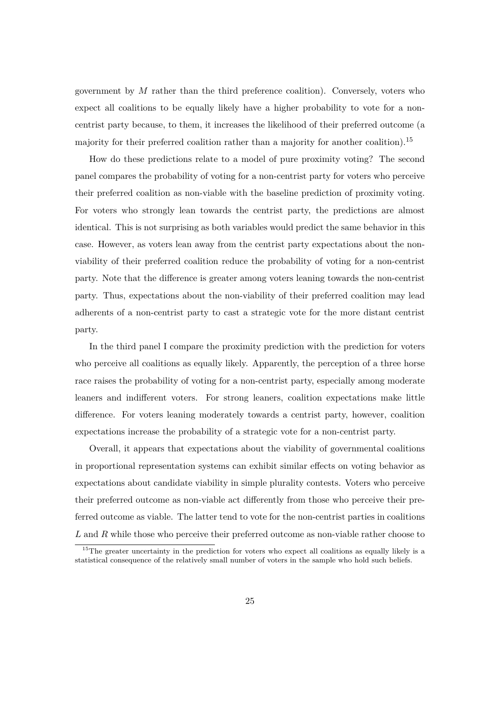government by  $M$  rather than the third preference coalition). Conversely, voters who expect all coalitions to be equally likely have a higher probability to vote for a noncentrist party because, to them, it increases the likelihood of their preferred outcome (a majority for their preferred coalition rather than a majority for another coalition).<sup>15</sup>

How do these predictions relate to a model of pure proximity voting? The second panel compares the probability of voting for a non-centrist party for voters who perceive their preferred coalition as non-viable with the baseline prediction of proximity voting. For voters who strongly lean towards the centrist party, the predictions are almost identical. This is not surprising as both variables would predict the same behavior in this case. However, as voters lean away from the centrist party expectations about the nonviability of their preferred coalition reduce the probability of voting for a non-centrist party. Note that the difference is greater among voters leaning towards the non-centrist party. Thus, expectations about the non-viability of their preferred coalition may lead adherents of a non-centrist party to cast a strategic vote for the more distant centrist party.

In the third panel I compare the proximity prediction with the prediction for voters who perceive all coalitions as equally likely. Apparently, the perception of a three horse race raises the probability of voting for a non-centrist party, especially among moderate leaners and indifferent voters. For strong leaners, coalition expectations make little difference. For voters leaning moderately towards a centrist party, however, coalition expectations increase the probability of a strategic vote for a non-centrist party.

Overall, it appears that expectations about the viability of governmental coalitions in proportional representation systems can exhibit similar effects on voting behavior as expectations about candidate viability in simple plurality contests. Voters who perceive their preferred outcome as non-viable act differently from those who perceive their preferred outcome as viable. The latter tend to vote for the non-centrist parties in coalitions L and R while those who perceive their preferred outcome as non-viable rather choose to

<sup>&</sup>lt;sup>15</sup>The greater uncertainty in the prediction for voters who expect all coalitions as equally likely is a statistical consequence of the relatively small number of voters in the sample who hold such beliefs.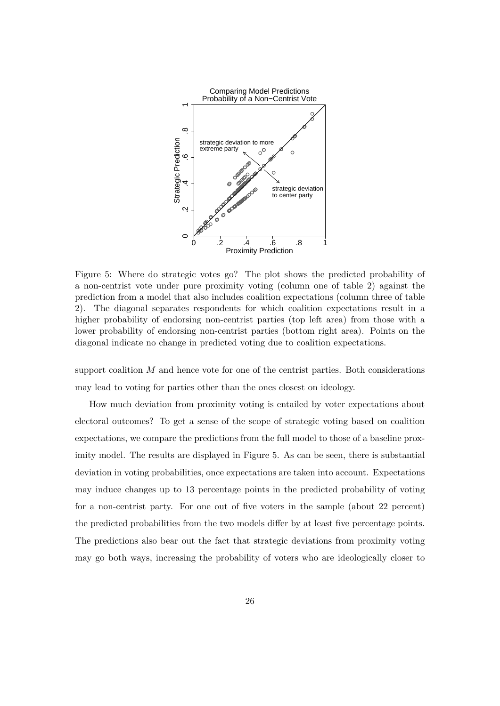

Figure 5: Where do strategic votes go? The plot shows the predicted probability of a non-centrist vote under pure proximity voting (column one of table 2) against the prediction from a model that also includes coalition expectations (column three of table 2). The diagonal separates respondents for which coalition expectations result in a higher probability of endorsing non-centrist parties (top left area) from those with a lower probability of endorsing non-centrist parties (bottom right area). Points on the diagonal indicate no change in predicted voting due to coalition expectations.

support coalition  $M$  and hence vote for one of the centrist parties. Both considerations may lead to voting for parties other than the ones closest on ideology.

How much deviation from proximity voting is entailed by voter expectations about electoral outcomes? To get a sense of the scope of strategic voting based on coalition expectations, we compare the predictions from the full model to those of a baseline proximity model. The results are displayed in Figure 5. As can be seen, there is substantial deviation in voting probabilities, once expectations are taken into account. Expectations may induce changes up to 13 percentage points in the predicted probability of voting for a non-centrist party. For one out of five voters in the sample (about 22 percent) the predicted probabilities from the two models differ by at least five percentage points. The predictions also bear out the fact that strategic deviations from proximity voting may go both ways, increasing the probability of voters who are ideologically closer to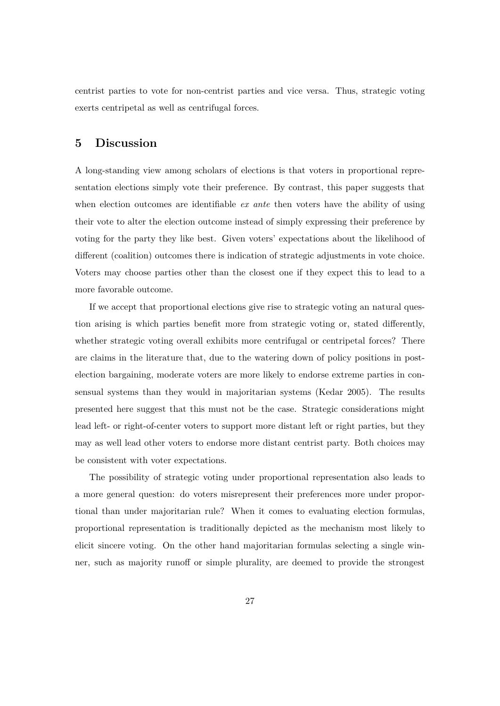centrist parties to vote for non-centrist parties and vice versa. Thus, strategic voting exerts centripetal as well as centrifugal forces.

### **5 Discussion**

A long-standing view among scholars of elections is that voters in proportional representation elections simply vote their preference. By contrast, this paper suggests that when election outcomes are identifiable *ex ante* then voters have the ability of using their vote to alter the election outcome instead of simply expressing their preference by voting for the party they like best. Given voters' expectations about the likelihood of different (coalition) outcomes there is indication of strategic adjustments in vote choice. Voters may choose parties other than the closest one if they expect this to lead to a more favorable outcome.

If we accept that proportional elections give rise to strategic voting an natural question arising is which parties benefit more from strategic voting or, stated differently, whether strategic voting overall exhibits more centrifugal or centripetal forces? There are claims in the literature that, due to the watering down of policy positions in postelection bargaining, moderate voters are more likely to endorse extreme parties in consensual systems than they would in majoritarian systems (Kedar 2005). The results presented here suggest that this must not be the case. Strategic considerations might lead left- or right-of-center voters to support more distant left or right parties, but they may as well lead other voters to endorse more distant centrist party. Both choices may be consistent with voter expectations.

The possibility of strategic voting under proportional representation also leads to a more general question: do voters misrepresent their preferences more under proportional than under majoritarian rule? When it comes to evaluating election formulas, proportional representation is traditionally depicted as the mechanism most likely to elicit sincere voting. On the other hand majoritarian formulas selecting a single winner, such as majority runoff or simple plurality, are deemed to provide the strongest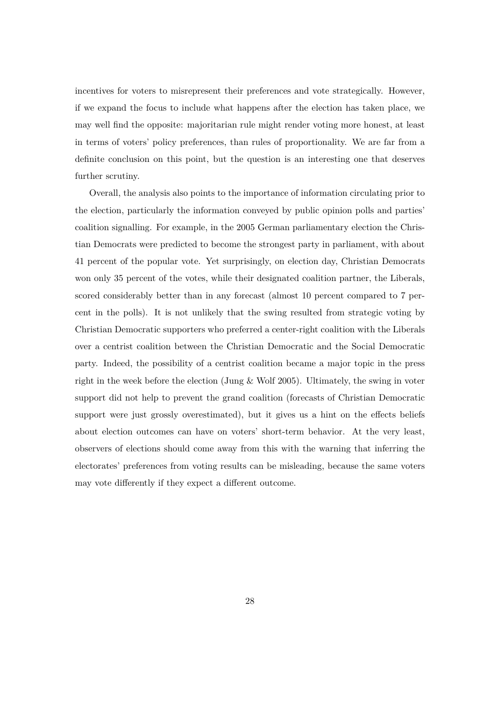incentives for voters to misrepresent their preferences and vote strategically. However, if we expand the focus to include what happens after the election has taken place, we may well find the opposite: majoritarian rule might render voting more honest, at least in terms of voters' policy preferences, than rules of proportionality. We are far from a definite conclusion on this point, but the question is an interesting one that deserves further scrutiny.

Overall, the analysis also points to the importance of information circulating prior to the election, particularly the information conveyed by public opinion polls and parties' coalition signalling. For example, in the 2005 German parliamentary election the Christian Democrats were predicted to become the strongest party in parliament, with about 41 percent of the popular vote. Yet surprisingly, on election day, Christian Democrats won only 35 percent of the votes, while their designated coalition partner, the Liberals, scored considerably better than in any forecast (almost 10 percent compared to 7 percent in the polls). It is not unlikely that the swing resulted from strategic voting by Christian Democratic supporters who preferred a center-right coalition with the Liberals over a centrist coalition between the Christian Democratic and the Social Democratic party. Indeed, the possibility of a centrist coalition became a major topic in the press right in the week before the election (Jung  $\&$  Wolf 2005). Ultimately, the swing in voter support did not help to prevent the grand coalition (forecasts of Christian Democratic support were just grossly overestimated), but it gives us a hint on the effects beliefs about election outcomes can have on voters' short-term behavior. At the very least, observers of elections should come away from this with the warning that inferring the electorates' preferences from voting results can be misleading, because the same voters may vote differently if they expect a different outcome.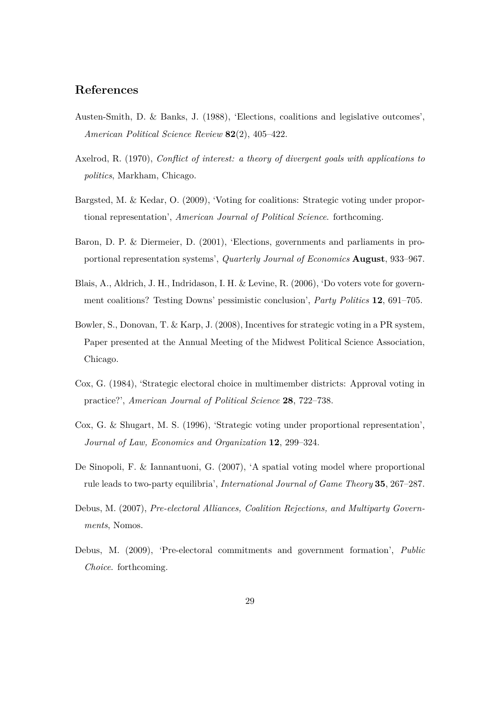## **References**

- Austen-Smith, D. & Banks, J. (1988), 'Elections, coalitions and legislative outcomes', *American Political Science Review* **82**(2), 405–422.
- Axelrod, R. (1970), *Conflict of interest: a theory of divergent goals with applications to politics*, Markham, Chicago.
- Bargsted, M. & Kedar, O. (2009), 'Voting for coalitions: Strategic voting under proportional representation', *American Journal of Political Science*. forthcoming.
- Baron, D. P. & Diermeier, D. (2001), 'Elections, governments and parliaments in proportional representation systems', *Quarterly Journal of Economics* **August**, 933–967.
- Blais, A., Aldrich, J. H., Indridason, I. H. & Levine, R. (2006), 'Do voters vote for government coalitions? Testing Downs' pessimistic conclusion', *Party Politics* **12**, 691–705.
- Bowler, S., Donovan, T. & Karp, J. (2008), Incentives for strategic voting in a PR system, Paper presented at the Annual Meeting of the Midwest Political Science Association, Chicago.
- Cox, G. (1984), 'Strategic electoral choice in multimember districts: Approval voting in practice?', *American Journal of Political Science* **28**, 722–738.
- Cox, G. & Shugart, M. S. (1996), 'Strategic voting under proportional representation', *Journal of Law, Economics and Organization* **12**, 299–324.
- De Sinopoli, F. & Iannantuoni, G. (2007), 'A spatial voting model where proportional rule leads to two-party equilibria', *International Journal of Game Theory* **35**, 267–287.
- Debus, M. (2007), *Pre-electoral Alliances, Coalition Rejections, and Multiparty Governments*, Nomos.
- Debus, M. (2009), 'Pre-electoral commitments and government formation', *Public Choice*. forthcoming.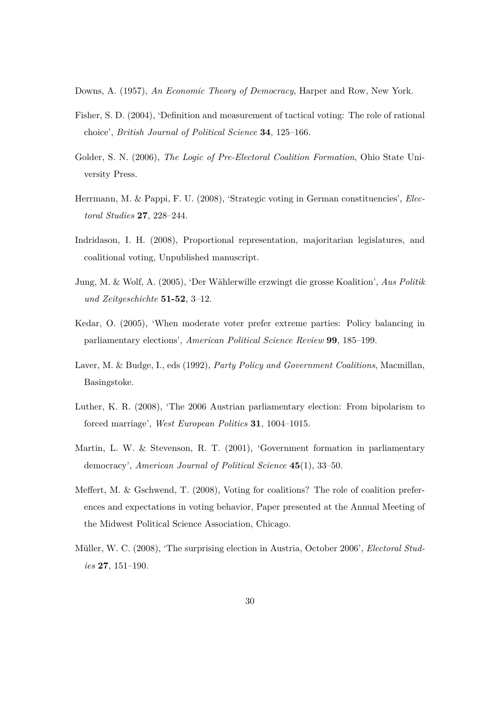Downs, A. (1957), *An Economic Theory of Democracy*, Harper and Row, New York.

- Fisher, S. D. (2004), 'Definition and measurement of tactical voting: The role of rational choice', *British Journal of Political Science* **34**, 125–166.
- Golder, S. N. (2006), *The Logic of Pre-Electoral Coalition Formation*, Ohio State University Press.
- Herrmann, M. & Pappi, F. U. (2008), 'Strategic voting in German constituencies', *Electoral Studies* **27**, 228–244.
- Indridason, I. H. (2008), Proportional representation, majoritarian legislatures, and coalitional voting, Unpublished manuscript.
- Jung, M. & Wolf, A. (2005), 'Der Wählerwille erzwingt die grosse Koalition', *Aus Politik und Zeitgeschichte* **51-52**, 3–12.
- Kedar, O. (2005), 'When moderate voter prefer extreme parties: Policy balancing in parliamentary elections', *American Political Science Review* **99**, 185–199.
- Laver, M. & Budge, I., eds (1992), *Party Policy and Government Coalitions*, Macmillan, Basingstoke.
- Luther, K. R. (2008), 'The 2006 Austrian parliamentary election: From bipolarism to forced marriage', *West European Politics* **31**, 1004–1015.
- Martin, L. W. & Stevenson, R. T. (2001), 'Government formation in parliamentary democracy', *American Journal of Political Science* **45**(1), 33–50.
- Meffert, M. & Gschwend, T. (2008), Voting for coalitions? The role of coalition preferences and expectations in voting behavior, Paper presented at the Annual Meeting of the Midwest Political Science Association, Chicago.
- Müller, W. C. (2008), 'The surprising election in Austria, October 2006', *Electoral Studies* **27**, 151–190.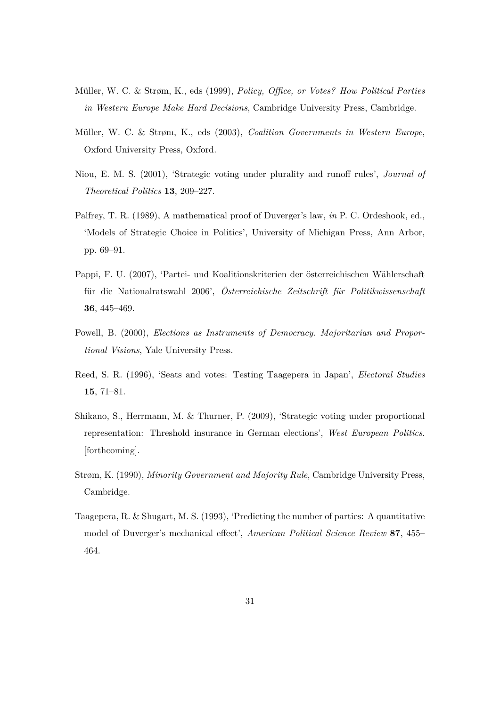- Müller, W. C. & Strøm, K., eds (1999), *Policy, Office, or Votes? How Political Parties in Western Europe Make Hard Decisions*, Cambridge University Press, Cambridge.
- Müller, W. C. & Strøm, K., eds (2003), *Coalition Governments in Western Europe*, Oxford University Press, Oxford.
- Niou, E. M. S. (2001), 'Strategic voting under plurality and runoff rules', *Journal of Theoretical Politics* **13**, 209–227.
- Palfrey, T. R. (1989), A mathematical proof of Duverger's law, *in* P. C. Ordeshook, ed., 'Models of Strategic Choice in Politics', University of Michigan Press, Ann Arbor, pp. 69–91.
- Pappi, F. U. (2007), 'Partei- und Koalitionskriterien der österreichischen Wählerschaft für die Nationalratswahl 2006', *Österreichische Zeitschrift für Politikwissenschaft* **36**, 445–469.
- Powell, B. (2000), *Elections as Instruments of Democracy. Majoritarian and Proportional Visions*, Yale University Press.
- Reed, S. R. (1996), 'Seats and votes: Testing Taagepera in Japan', *Electoral Studies* **15**, 71–81.
- Shikano, S., Herrmann, M. & Thurner, P. (2009), 'Strategic voting under proportional representation: Threshold insurance in German elections', *West European Politics*. [forthcoming].
- Strøm, K. (1990), *Minority Government and Majority Rule*, Cambridge University Press, Cambridge.
- Taagepera, R. & Shugart, M. S. (1993), 'Predicting the number of parties: A quantitative model of Duverger's mechanical effect', *American Political Science Review* **87**, 455– 464.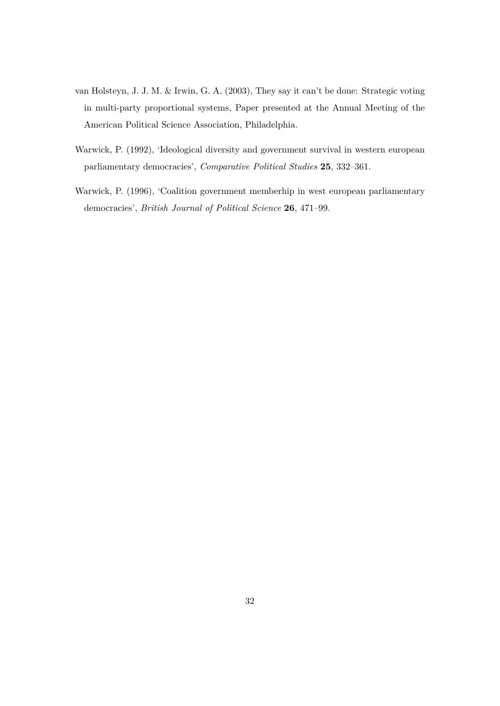- van Holsteyn, J. J. M. & Irwin, G. A. (2003), They say it can't be done: Strategic voting in multi-party proportional systems, Paper presented at the Annual Meeting of the American Political Science Association, Philadelphia.
- Warwick, P. (1992), 'Ideological diversity and government survival in western european parliamentary democracies', *Comparative Political Studies* **25**, 332–361.
- Warwick, P. (1996), 'Coalition government memberhip in west european parliamentary democracies', *British Journal of Political Science* **26**, 471–99.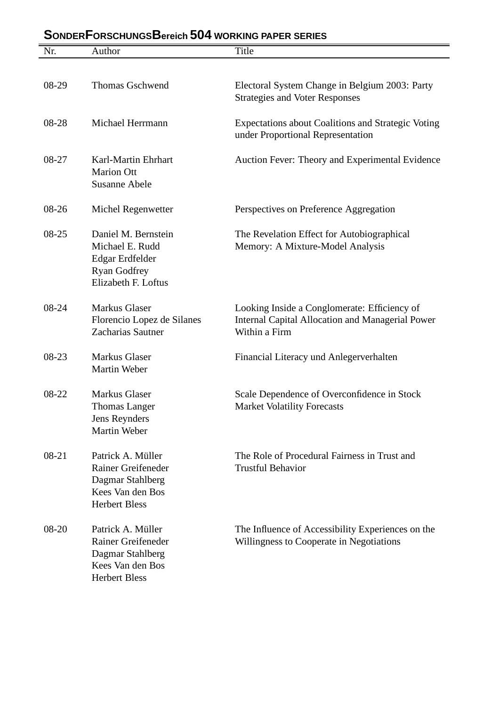| Nr.     | Author                                                                                                         | Title                                                                                                                    |
|---------|----------------------------------------------------------------------------------------------------------------|--------------------------------------------------------------------------------------------------------------------------|
|         |                                                                                                                |                                                                                                                          |
| 08-29   | <b>Thomas Gschwend</b>                                                                                         | Electoral System Change in Belgium 2003: Party<br><b>Strategies and Voter Responses</b>                                  |
| 08-28   | Michael Herrmann                                                                                               | <b>Expectations about Coalitions and Strategic Voting</b><br>under Proportional Representation                           |
| 08-27   | Karl-Martin Ehrhart<br><b>Marion Ott</b><br><b>Susanne Abele</b>                                               | Auction Fever: Theory and Experimental Evidence                                                                          |
| $08-26$ | Michel Regenwetter                                                                                             | Perspectives on Preference Aggregation                                                                                   |
| 08-25   | Daniel M. Bernstein<br>Michael E. Rudd<br>Edgar Erdfelder<br><b>Ryan Godfrey</b><br>Elizabeth F. Loftus        | The Revelation Effect for Autobiographical<br>Memory: A Mixture-Model Analysis                                           |
| 08-24   | <b>Markus Glaser</b><br>Florencio Lopez de Silanes<br>Zacharias Sautner                                        | Looking Inside a Conglomerate: Efficiency of<br><b>Internal Capital Allocation and Managerial Power</b><br>Within a Firm |
| 08-23   | <b>Markus Glaser</b><br>Martin Weber                                                                           | Financial Literacy und Anlegerverhalten                                                                                  |
| 08-22   | Markus Glaser<br><b>Thomas Langer</b><br>Jens Reynders<br>Martin Weber                                         | Scale Dependence of Overconfidence in Stock<br><b>Market Volatility Forecasts</b>                                        |
| 08-21   | Patrick A. Müller<br><b>Rainer Greifeneder</b><br>Dagmar Stahlberg<br>Kees Van den Bos<br><b>Herbert Bless</b> | The Role of Procedural Fairness in Trust and<br><b>Trustful Behavior</b>                                                 |
| 08-20   | Patrick A. Müller<br><b>Rainer Greifeneder</b><br>Dagmar Stahlberg<br>Kees Van den Bos<br><b>Herbert Bless</b> | The Influence of Accessibility Experiences on the<br>Willingness to Cooperate in Negotiations                            |

## **SONDERFORSCHUNGSBereich 504 WORKING PAPER SERIES**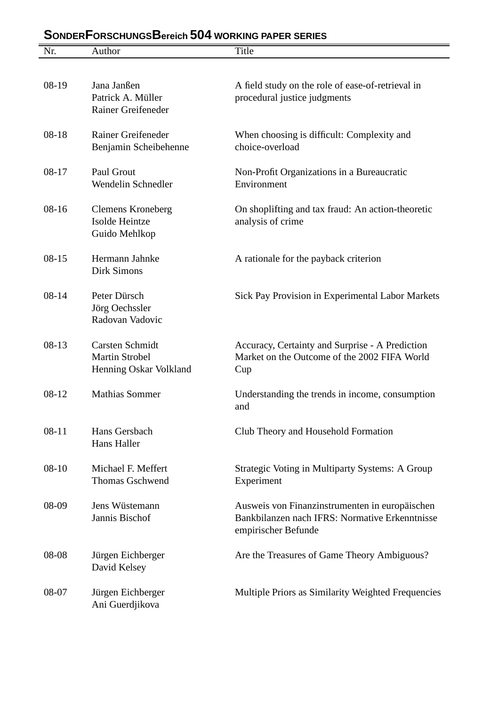| Nr.       | Author                                                                    | <b>Title</b>                                                                                                            |
|-----------|---------------------------------------------------------------------------|-------------------------------------------------------------------------------------------------------------------------|
| 08-19     | Jana Janßen<br>Patrick A. Müller<br>Rainer Greifeneder                    | A field study on the role of ease-of-retrieval in<br>procedural justice judgments                                       |
| $08-18$   | <b>Rainer Greifeneder</b><br>Benjamin Scheibehenne                        | When choosing is difficult: Complexity and<br>choice-overload                                                           |
| $08 - 17$ | Paul Grout<br>Wendelin Schnedler                                          | Non-Profit Organizations in a Bureaucratic<br>Environment                                                               |
| $08-16$   | <b>Clemens Kroneberg</b><br>Isolde Heintze<br>Guido Mehlkop               | On shoplifting and tax fraud: An action-theoretic<br>analysis of crime                                                  |
| $08-15$   | Hermann Jahnke<br><b>Dirk Simons</b>                                      | A rationale for the payback criterion                                                                                   |
| $08 - 14$ | Peter Dürsch<br>Jörg Oechssler<br>Radovan Vadovic                         | Sick Pay Provision in Experimental Labor Markets                                                                        |
| $08-13$   | <b>Carsten Schmidt</b><br><b>Martin Strobel</b><br>Henning Oskar Volkland | Accuracy, Certainty and Surprise - A Prediction<br>Market on the Outcome of the 2002 FIFA World<br>Cup                  |
| $08-12$   | <b>Mathias Sommer</b>                                                     | Understanding the trends in income, consumption<br>and                                                                  |
| $08 - 11$ | Hans Gersbach<br>Hans Haller                                              | Club Theory and Household Formation                                                                                     |
| $08-10$   | Michael F. Meffert<br><b>Thomas Gschwend</b>                              | <b>Strategic Voting in Multiparty Systems: A Group</b><br>Experiment                                                    |
| 08-09     | Jens Wüstemann<br>Jannis Bischof                                          | Ausweis von Finanzinstrumenten in europäischen<br>Bankbilanzen nach IFRS: Normative Erkenntnisse<br>empirischer Befunde |
| 08-08     | Jürgen Eichberger<br>David Kelsey                                         | Are the Treasures of Game Theory Ambiguous?                                                                             |
| 08-07     | Jürgen Eichberger<br>Ani Guerdjikova                                      | Multiple Priors as Similarity Weighted Frequencies                                                                      |

# **SONDERFORSCHUNGSBereich 504 WORKING PAPER SERIES**